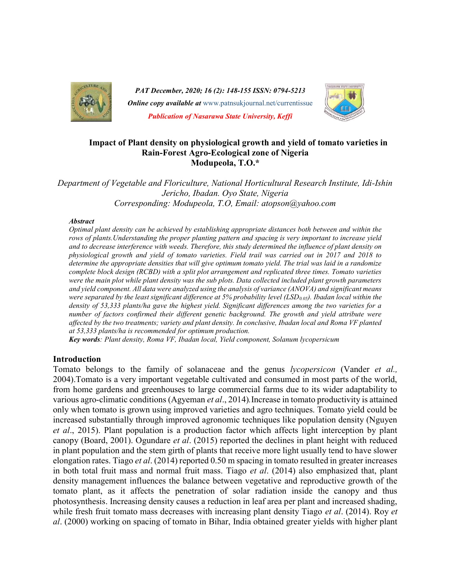

PAT December, 2020; 16 (2): 148-155 ISSN: 0794-5213 **Online copy available at** www.patnsukjournal.net/currentissue Publication of Nasarawa State University, Keffi



## Impact of Plant density on physiological growth and yield of tomato varieties in Rain-Forest Agro-Ecological zone of Nigeria Modupeola, T.O.\*

Department of Vegetable and Floriculture, National Horticultural Research Institute, Idi-Ishin Jericho, Ibadan. Oyo State, Nigeria Corresponding: Modupeola, T.O, Email: atopson@yahoo.com

#### Abstract

Optimal plant density can be achieved by establishing appropriate distances both between and within the rows of plants.Understanding the proper planting pattern and spacing is very important to increase yield and to decrease interference with weeds. Therefore, this study determined the influence of plant density on physiological growth and yield of tomato varieties. Field trail was carried out in 2017 and 2018 to determine the appropriate densities that will give optimum tomato yield. The trial was laid in a randomize complete block design (RCBD) with a split plot arrangement and replicated three times. Tomato varieties were the main plot while plant density was the sub plots. Data collected included plant growth parameters and yield component. All data were analyzed using the analysis of variance (ANOVA) and significant means were separated by the least significant difference at 5% probability level (LSD<sub>0.05</sub>). Ibadan local within the density of 53,333 plants/ha gave the highest yield. Significant differences among the two varieties for a number of factors confirmed their different genetic background. The growth and yield attribute were affected by the two treatments; variety and plant density. In conclusive, Ibadan local and Roma VF planted at 53,333 plants/ha is recommended for optimum production.

Key words: Plant density, Roma VF, Ibadan local, Yield component, Solanum lycopersicum

#### Introduction

Tomato belongs to the family of solanaceae and the genus lycopersicon (Vander et al., 2004).Tomato is a very important vegetable cultivated and consumed in most parts of the world, from home gardens and greenhouses to large commercial farms due to its wider adaptability to various agro-climatic conditions (Agyeman et al., 2014). Increase in tomato productivity is attained only when tomato is grown using improved varieties and agro techniques. Tomato yield could be increased substantially through improved agronomic techniques like population density (Nguyen et al., 2015). Plant population is a production factor which affects light interception by plant canopy (Board, 2001). Ogundare et al. (2015) reported the declines in plant height with reduced in plant population and the stem girth of plants that receive more light usually tend to have slower elongation rates. Tiago et al. (2014) reported 0.50 m spacing in tomato resulted in greater increases in both total fruit mass and normal fruit mass. Tiago *et al.*  $(2014)$  also emphasized that, plant density management influences the balance between vegetative and reproductive growth of the tomato plant, as it affects the penetration of solar radiation inside the canopy and thus photosynthesis. Increasing density causes a reduction in leaf area per plant and increased shading, while fresh fruit tomato mass decreases with increasing plant density Tiago *et al.* (2014). Roy *et* al. (2000) working on spacing of tomato in Bihar, India obtained greater yields with higher plant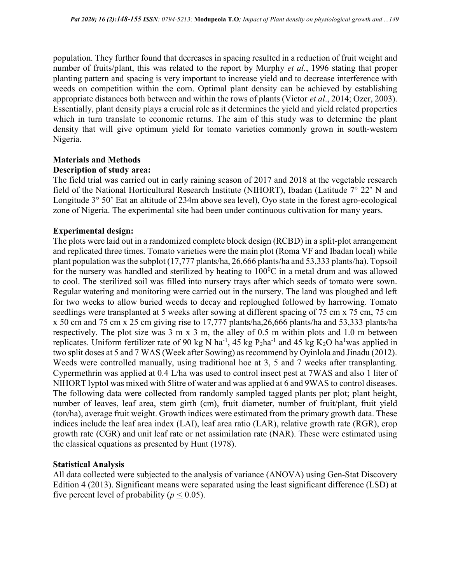population. They further found that decreases in spacing resulted in a reduction of fruit weight and number of fruits/plant, this was related to the report by Murphy *et al.*, 1996 stating that proper planting pattern and spacing is very important to increase yield and to decrease interference with weeds on competition within the corn. Optimal plant density can be achieved by establishing appropriate distances both between and within the rows of plants (Victor et al., 2014; Ozer, 2003). Essentially, plant density plays a crucial role as it determines the yield and yield related properties which in turn translate to economic returns. The aim of this study was to determine the plant density that will give optimum yield for tomato varieties commonly grown in south-western Nigeria.

# Materials and Methods Description of study area:

The field trial was carried out in early raining season of 2017 and 2018 at the vegetable research field of the National Horticultural Research Institute (NIHORT), Ibadan (Latitude 7° 22' N and Longitude 3° 50' Eat an altitude of 234m above sea level), Oyo state in the forest agro-ecological zone of Nigeria. The experimental site had been under continuous cultivation for many years.

# Experimental design:

The plots were laid out in a randomized complete block design (RCBD) in a split-plot arrangement and replicated three times. Tomato varieties were the main plot (Roma VF and Ibadan local) while plant population was the subplot (17,777 plants/ha, 26,666 plants/ha and 53,333 plants/ha). Topsoil for the nursery was handled and sterilized by heating to  $100^{\circ}$ C in a metal drum and was allowed to cool. The sterilized soil was filled into nursery trays after which seeds of tomato were sown. Regular watering and monitoring were carried out in the nursery. The land was ploughed and left for two weeks to allow buried weeds to decay and reploughed followed by harrowing. Tomato seedlings were transplanted at 5 weeks after sowing at different spacing of 75 cm x 75 cm, 75 cm x 50 cm and 75 cm x 25 cm giving rise to 17,777 plants/ha,26,666 plants/ha and 53,333 plants/ha respectively. The plot size was 3 m x 3 m, the alley of 0.5 m within plots and 1.0 m between replicates. Uniform fertilizer rate of 90 kg N ha<sup>-1</sup>, 45 kg P<sub>2</sub>ha<sup>-1</sup> and 45 kg K<sub>2</sub>O ha<sup>1</sup>was applied in two split doses at 5 and 7 WAS (Week after Sowing) as recommend by Oyinlola and Jinadu (2012). Weeds were controlled manually, using traditional hoe at 3, 5 and 7 weeks after transplanting. Cypermethrin was applied at 0.4 L/ha was used to control insect pest at 7WAS and also 1 liter of NIHORT lyptol was mixed with 5litre of water and was applied at 6 and 9WAS to control diseases. The following data were collected from randomly sampled tagged plants per plot; plant height, number of leaves, leaf area, stem girth (cm), fruit diameter, number of fruit/plant, fruit yield (ton/ha), average fruit weight. Growth indices were estimated from the primary growth data. These indices include the leaf area index (LAI), leaf area ratio (LAR), relative growth rate (RGR), crop growth rate (CGR) and unit leaf rate or net assimilation rate (NAR). These were estimated using the classical equations as presented by Hunt (1978).

# Statistical Analysis

All data collected were subjected to the analysis of variance (ANOVA) using Gen-Stat Discovery Edition 4 (2013). Significant means were separated using the least significant difference (LSD) at five percent level of probability ( $p < 0.05$ ).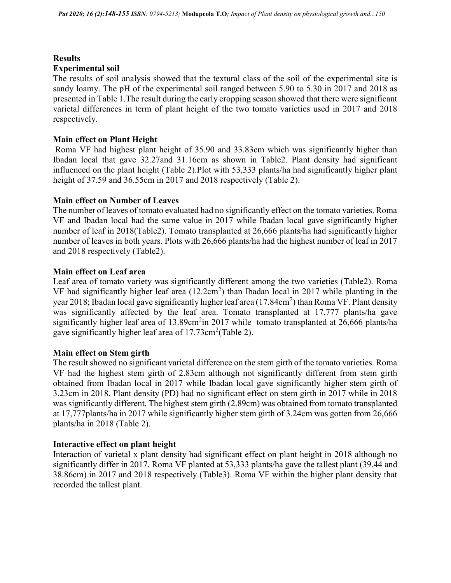#### **Results** Experimental soil

The results of soil analysis showed that the textural class of the soil of the experimental site is sandy loamy. The pH of the experimental soil ranged between 5.90 to 5.30 in 2017 and 2018 as presented in Table 1.The result during the early cropping season showed that there were significant varietal differences in term of plant height of the two tomato varieties used in 2017 and 2018 respectively.

## Main effect on Plant Height

 Roma VF had highest plant height of 35.90 and 33.83cm which was significantly higher than Ibadan local that gave 32.27and 31.16cm as shown in Table2. Plant density had significant influenced on the plant height (Table 2).Plot with 53,333 plants/ha had significantly higher plant height of 37.59 and 36.55cm in 2017 and 2018 respectively (Table 2).

## Main effect on Number of Leaves

The number of leaves of tomato evaluated had no significantly effect on the tomato varieties. Roma VF and Ibadan local had the same value in 2017 while Ibadan local gave significantly higher number of leaf in 2018(Table2). Tomato transplanted at 26,666 plants/ha had significantly higher number of leaves in both years. Plots with 26,666 plants/ha had the highest number of leaf in 2017 and 2018 respectively (Table2).

## Main effect on Leaf area

Leaf area of tomato variety was significantly different among the two varieties (Table2). Roma VF had significantly higher leaf area  $(12.2 \text{cm}^2)$  than Ibadan local in 2017 while planting in the year 2018; Ibadan local gave significantly higher leaf area (17.84cm<sup>2</sup>) than Roma VF. Plant density was significantly affected by the leaf area. Tomato transplanted at 17,777 plants/ha gave significantly higher leaf area of 13.89 $cm<sup>2</sup>$ in 2017 while tomato transplanted at 26,666 plants/ha gave significantly higher leaf area of  $17.73 \text{cm}^2 \text{(Table 2)}.$ 

### Main effect on Stem girth

The result showed no significant varietal difference on the stem girth of the tomato varieties. Roma VF had the highest stem girth of 2.83cm although not significantly different from stem girth obtained from Ibadan local in 2017 while Ibadan local gave significantly higher stem girth of 3.23cm in 2018. Plant density (PD) had no significant effect on stem girth in 2017 while in 2018 was significantly different. The highest stem girth (2.89cm) was obtained from tomato transplanted at 17,777plants/ha in 2017 while significantly higher stem girth of 3.24cm was gotten from 26,666 plants/ha in 2018 (Table 2).

# Interactive effect on plant height

Interaction of varietal x plant density had significant effect on plant height in 2018 although no significantly differ in 2017. Roma VF planted at 53,333 plants/ha gave the tallest plant (39.44 and 38.86cm) in 2017 and 2018 respectively (Table3). Roma VF within the higher plant density that recorded the tallest plant.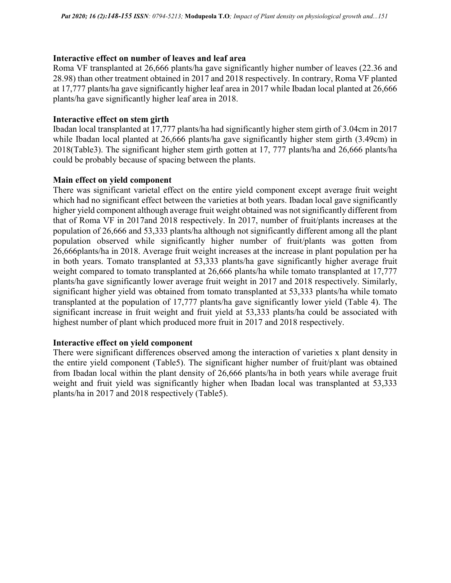### Interactive effect on number of leaves and leaf area

Roma VF transplanted at 26,666 plants/ha gave significantly higher number of leaves (22.36 and 28.98) than other treatment obtained in 2017 and 2018 respectively. In contrary, Roma VF planted at 17,777 plants/ha gave significantly higher leaf area in 2017 while Ibadan local planted at 26,666 plants/ha gave significantly higher leaf area in 2018.

## Interactive effect on stem girth

Ibadan local transplanted at 17,777 plants/ha had significantly higher stem girth of 3.04cm in 2017 while Ibadan local planted at 26,666 plants/ha gave significantly higher stem girth (3.49cm) in 2018(Table3). The significant higher stem girth gotten at 17, 777 plants/ha and 26,666 plants/ha could be probably because of spacing between the plants.

## Main effect on yield component

There was significant varietal effect on the entire yield component except average fruit weight which had no significant effect between the varieties at both years. Ibadan local gave significantly higher yield component although average fruit weight obtained was not significantly different from that of Roma VF in 2017and 2018 respectively. In 2017, number of fruit/plants increases at the population of 26,666 and 53,333 plants/ha although not significantly different among all the plant population observed while significantly higher number of fruit/plants was gotten from 26,666plants/ha in 2018. Average fruit weight increases at the increase in plant population per ha in both years. Tomato transplanted at 53,333 plants/ha gave significantly higher average fruit weight compared to tomato transplanted at 26,666 plants/ha while tomato transplanted at 17,777 plants/ha gave significantly lower average fruit weight in 2017 and 2018 respectively. Similarly, significant higher yield was obtained from tomato transplanted at 53,333 plants/ha while tomato transplanted at the population of 17,777 plants/ha gave significantly lower yield (Table 4). The significant increase in fruit weight and fruit yield at 53,333 plants/ha could be associated with highest number of plant which produced more fruit in 2017 and 2018 respectively.

# Interactive effect on yield component

There were significant differences observed among the interaction of varieties x plant density in the entire yield component (Table5). The significant higher number of fruit/plant was obtained from Ibadan local within the plant density of 26,666 plants/ha in both years while average fruit weight and fruit yield was significantly higher when Ibadan local was transplanted at 53,333 plants/ha in 2017 and 2018 respectively (Table5).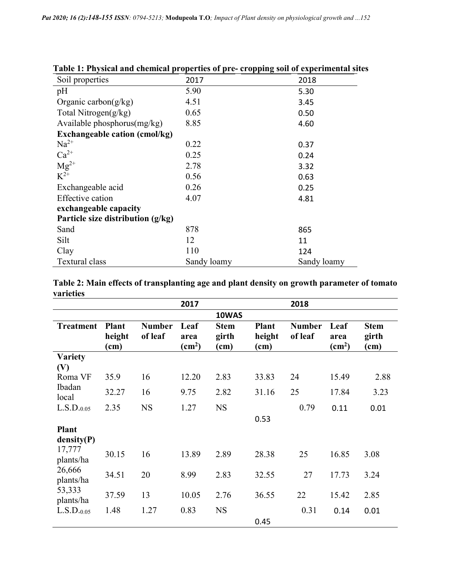| Soil properties                      | 2017        | 2018        |
|--------------------------------------|-------------|-------------|
| pH                                   | 5.90        | 5.30        |
| Organic carbon $(g/kg)$              | 4.51        | 3.45        |
| Total Nitrogen $(g/kg)$              | 0.65        | 0.50        |
| Available phosphorus $(mg/kg)$       | 8.85        | 4.60        |
| <b>Exchangeable cation (cmol/kg)</b> |             |             |
| $Na^{2+}$                            | 0.22        | 0.37        |
| $Ca^{2+}$                            | 0.25        | 0.24        |
| $Mg^{2+}$                            | 2.78        | 3.32        |
| $K^{2+}$                             | 0.56        | 0.63        |
| Exchangeable acid                    | 0.26        | 0.25        |
| Effective cation                     | 4.07        | 4.81        |
| exchangeable capacity                |             |             |
| Particle size distribution $(g/kg)$  |             |             |
| Sand                                 | 878         | 865         |
| Silt                                 | 12          | 11          |
| Clay                                 | 110         | 124         |
| Textural class                       | Sandy loamy | Sandy loamy |

# Table 1: Physical and chemical properties of pre- cropping soil of experimental sites

Table 2: Main effects of transplanting age and plant density on growth parameter of tomato varieties

|                     |                                |                          | 2017                               |                              |                                | 2018                     |                                        |                              |
|---------------------|--------------------------------|--------------------------|------------------------------------|------------------------------|--------------------------------|--------------------------|----------------------------------------|------------------------------|
|                     |                                |                          |                                    | 10WAS                        |                                |                          |                                        |                              |
| <b>Treatment</b>    | <b>Plant</b><br>height<br>(cm) | <b>Number</b><br>of leaf | Leaf<br>area<br>(cm <sup>2</sup> ) | <b>Stem</b><br>girth<br>(cm) | <b>Plant</b><br>height<br>(cm) | <b>Number</b><br>of leaf | Leaf<br>area<br>$\text{(cm}^2\text{)}$ | <b>Stem</b><br>girth<br>(cm) |
| <b>Variety</b>      |                                |                          |                                    |                              |                                |                          |                                        |                              |
| (V)<br>Roma VF      | 35.9                           | 16                       | 12.20                              | 2.83                         | 33.83                          | 24                       | 15.49                                  | 2.88                         |
| Ibadan<br>local     | 32.27                          | 16                       | 9.75                               | 2.82                         | 31.16                          | 25                       | 17.84                                  | 3.23                         |
| L.S.D.0.05          | 2.35                           | <b>NS</b>                | 1.27                               | <b>NS</b>                    |                                | 0.79                     | 0.11                                   | 0.01                         |
|                     |                                |                          |                                    |                              | 0.53                           |                          |                                        |                              |
| <b>Plant</b>        |                                |                          |                                    |                              |                                |                          |                                        |                              |
| density(P)          |                                |                          |                                    |                              |                                |                          |                                        |                              |
| 17,777<br>plants/ha | 30.15                          | 16                       | 13.89                              | 2.89                         | 28.38                          | 25                       | 16.85                                  | 3.08                         |
| 26,666<br>plants/ha | 34.51                          | 20                       | 8.99                               | 2.83                         | 32.55                          | 27                       | 17.73                                  | 3.24                         |
| 53,333<br>plants/ha | 37.59                          | 13                       | 10.05                              | 2.76                         | 36.55                          | 22                       | 15.42                                  | 2.85                         |
| L.S.D.0.05          | 1.48                           | 1.27                     | 0.83                               | <b>NS</b>                    |                                | 0.31                     | 0.14                                   | 0.01                         |
|                     |                                |                          |                                    |                              | 0.45                           |                          |                                        |                              |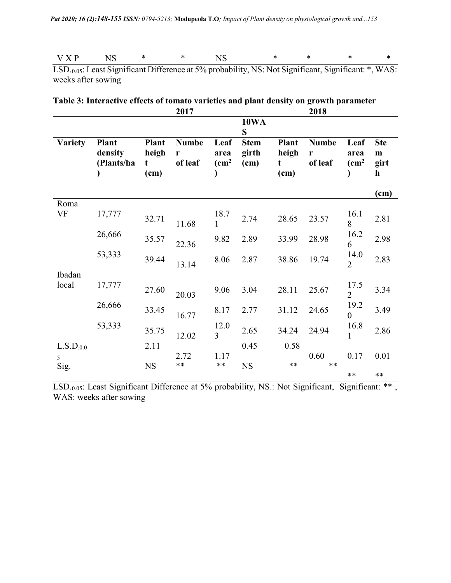| . .<br>$ -$ |  |  |  |  |  |  |  |  | . |
|-------------|--|--|--|--|--|--|--|--|---|
|-------------|--|--|--|--|--|--|--|--|---|

LSD.0.05: Least Significant Difference at 5% probability, NS: Not Significant, Significant: \*, WAS: weeks after sowing

| Table 3: Interactive effects of tomato varieties and plant density on growth parameter |  |  |
|----------------------------------------------------------------------------------------|--|--|
|----------------------------------------------------------------------------------------|--|--|

|                       |                                |                                    | 2017                         |                               |                              |                                    | 2018                         |                               |                                        |
|-----------------------|--------------------------------|------------------------------------|------------------------------|-------------------------------|------------------------------|------------------------------------|------------------------------|-------------------------------|----------------------------------------|
|                       |                                |                                    |                              |                               | <b>10WA</b><br>S             |                                    |                              |                               |                                        |
| <b>Variety</b>        | Plant<br>density<br>(Plants/ha | <b>Plant</b><br>heigh<br>t<br>(cm) | <b>Numbe</b><br>r<br>of leaf | Leaf<br>area<br>$\text{cm}^2$ | <b>Stem</b><br>girth<br>(cm) | <b>Plant</b><br>heigh<br>t<br>(cm) | <b>Numbe</b><br>r<br>of leaf | Leaf<br>area<br>$\rm \ (cm^2$ | <b>Ste</b><br>m<br>girt<br>$\mathbf h$ |
|                       |                                |                                    |                              |                               |                              |                                    |                              |                               | (cm)                                   |
| Roma<br>VF            | 17,777                         | 32.71                              | 11.68                        | 18.7<br>$\mathbf{1}$          | 2.74                         | 28.65                              | 23.57                        | 16.1<br>8                     | 2.81                                   |
|                       | 26,666                         | 35.57                              | 22.36                        | 9.82                          | 2.89                         | 33.99                              | 28.98                        | 16.2<br>6                     | 2.98                                   |
|                       | 53,333                         | 39.44                              | 13.14                        | 8.06                          | 2.87                         | 38.86                              | 19.74                        | 14.0<br>$\overline{2}$        | 2.83                                   |
| Ibadan                |                                |                                    |                              |                               |                              |                                    |                              |                               |                                        |
| local                 | 17,777                         | 27.60                              | 20.03                        | 9.06                          | 3.04                         | 28.11                              | 25.67                        | 17.5<br>$\overline{2}$        | 3.34                                   |
|                       | 26,666                         | 33.45                              | 16.77                        | 8.17                          | 2.77                         | 31.12                              | 24.65                        | 19.2<br>$\theta$              | 3.49                                   |
|                       | 53,333                         | 35.75                              | 12.02                        | 12.0<br>$\overline{3}$        | 2.65                         | 34.24                              | 24.94                        | 16.8<br>$\mathbf{1}$          | 2.86                                   |
| L.S.D <sub>.0.0</sub> |                                | 2.11                               |                              |                               | 0.45                         | 0.58                               |                              |                               |                                        |
| 5<br>Sig.             |                                | <b>NS</b>                          | 2.72<br>**                   | 1.17<br>$**$                  | <b>NS</b>                    | $**$                               | 0.60<br>$**$                 | 0.17                          | 0.01                                   |
|                       |                                |                                    |                              |                               |                              |                                    |                              | $**$                          | $**$                                   |

LSD.<sub>0.05</sub>: Least Significant Difference at 5% probability, NS.: Not Significant, Significant: \*\*, WAS: weeks after sowing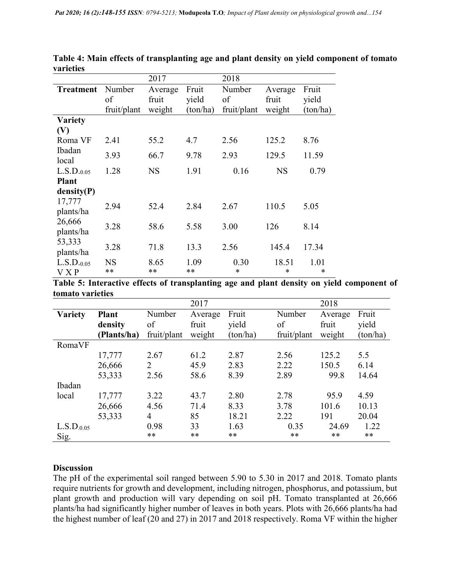|                                   |                 | 2017       |            | 2018        |                 |           |
|-----------------------------------|-----------------|------------|------------|-------------|-----------------|-----------|
| <b>Treatment</b>                  | Number          | Average    | Fruit      | Number      | Average         | Fruit     |
|                                   | of              | fruit      | yield      | of          | fruit           | yield     |
|                                   | fruit/plant     | weight     | (ton/ha)   | fruit/plant | weight          | (ton/ha)  |
| <b>Variety</b>                    |                 |            |            |             |                 |           |
| (V)                               |                 |            |            |             |                 |           |
| Roma VF                           | 2.41            | 55.2       | 4.7        | 2.56        | 125.2           | 8.76      |
| Ibadan<br>local                   | 3.93            | 66.7       | 9.78       | 2.93        | 129.5           | 11.59     |
| L.S.D. <sub>0.05</sub>            | 1.28            | <b>NS</b>  | 1.91       | 0.16        | <b>NS</b>       | 0.79      |
| <b>Plant</b>                      |                 |            |            |             |                 |           |
| density(P)                        |                 |            |            |             |                 |           |
| 17,777<br>plants/ha               | 2.94            | 52.4       | 2.84       | 2.67        | 110.5           | 5.05      |
| 26,666<br>plants/ha               | 3.28            | 58.6       | 5.58       | 3.00        | 126             | 8.14      |
| 53,333<br>plants/ha               | 3.28            | 71.8       | 13.3       | 2.56        | 145.4           | 17.34     |
| $L.S.D.$ <sub>0.05</sub><br>V X P | <b>NS</b><br>** | 8.65<br>** | 1.09<br>** | 0.30<br>*   | 18.51<br>$\ast$ | 1.01<br>* |

Table 4: Main effects of transplanting age and plant density on yield component of tomato varieties

Table 5: Interactive effects of transplanting age and plant density on yield component of tomato varieties

|                        |              |             | 2017    |          |             | 2018    |          |
|------------------------|--------------|-------------|---------|----------|-------------|---------|----------|
| <b>Variety</b>         | <b>Plant</b> | Number      | Average | Fruit    | Number      | Average | Fruit    |
|                        | density      | of          | fruit   | yield    | of          | fruit   | yield    |
|                        | (Plants/ha)  | fruit/plant | weight  | (ton/ha) | fruit/plant | weight  | (ton/ha) |
| RomaVF                 |              |             |         |          |             |         |          |
|                        | 17,777       | 2.67        | 61.2    | 2.87     | 2.56        | 125.2   | 5.5      |
|                        | 26,666       | 2           | 45.9    | 2.83     | 2.22        | 150.5   | 6.14     |
|                        | 53,333       | 2.56        | 58.6    | 8.39     | 2.89        | 99.8    | 14.64    |
| Ibadan                 |              |             |         |          |             |         |          |
| local                  | 17,777       | 3.22        | 43.7    | 2.80     | 2.78        | 95.9    | 4.59     |
|                        | 26,666       | 4.56        | 71.4    | 8.33     | 3.78        | 101.6   | 10.13    |
|                        | 53,333       | 4           | 85      | 18.21    | 2.22        | 191     | 20.04    |
| L.S.D <sub>.0.05</sub> |              | 0.98        | 33      | 1.63     | 0.35        | 24.69   | 1.22     |
| Sig.                   |              | **          | **      | **       | $***$       | **      | $***$    |

# **Discussion**

The pH of the experimental soil ranged between 5.90 to 5.30 in 2017 and 2018. Tomato plants require nutrients for growth and development, including nitrogen, phosphorus, and potassium, but plant growth and production will vary depending on soil pH. Tomato transplanted at 26,666 plants/ha had significantly higher number of leaves in both years. Plots with 26,666 plants/ha had the highest number of leaf (20 and 27) in 2017 and 2018 respectively. Roma VF within the higher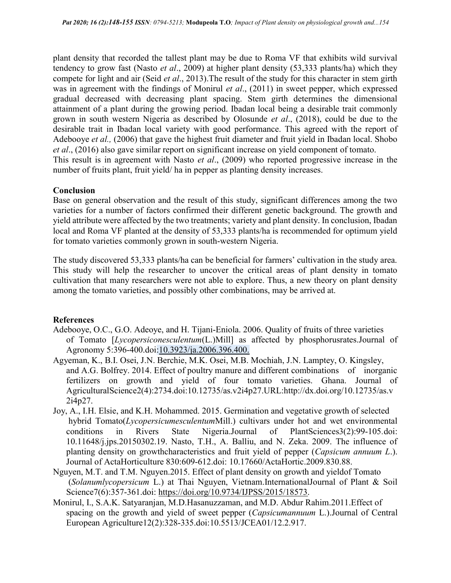plant density that recorded the tallest plant may be due to Roma VF that exhibits wild survival tendency to grow fast (Nasto et al., 2009) at higher plant density (53,333 plants/ha) which they compete for light and air (Seid et al., 2013).The result of the study for this character in stem girth was in agreement with the findings of Monirul *et al.*, (2011) in sweet pepper, which expressed gradual decreased with decreasing plant spacing. Stem girth determines the dimensional attainment of a plant during the growing period. Ibadan local being a desirable trait commonly grown in south western Nigeria as described by Olosunde et al., (2018), could be due to the desirable trait in Ibadan local variety with good performance. This agreed with the report of Adebooye et al., (2006) that gave the highest fruit diameter and fruit yield in Ibadan local. Shobo et al., (2016) also gave similar report on significant increase on yield component of tomato. This result is in agreement with Nasto *et al.*, (2009) who reported progressive increase in the number of fruits plant, fruit yield/ ha in pepper as planting density increases.

## Conclusion

Base on general observation and the result of this study, significant differences among the two varieties for a number of factors confirmed their different genetic background. The growth and yield attribute were affected by the two treatments; variety and plant density. In conclusion, Ibadan local and Roma VF planted at the density of 53,333 plants/ha is recommended for optimum yield for tomato varieties commonly grown in south-western Nigeria.

The study discovered 53,333 plants/ha can be beneficial for farmers' cultivation in the study area. This study will help the researcher to uncover the critical areas of plant density in tomato cultivation that many researchers were not able to explore. Thus, a new theory on plant density among the tomato varieties, and possibly other combinations, may be arrived at.

# **References**

- Adebooye, O.C., G.O. Adeoye, and H. Tijani-Eniola. 2006. Quality of fruits of three varieties of Tomato [Lycopersiconesculentum(L.)Mill] as affected by phosphorusrates.Journal of Agronomy 5:396-400.doi:10.3923/ja.2006.396.400.
- Agyeman, K., B.I. Osei, J.N. Berchie, M.K. Osei, M.B. Mochiah, J.N. Lamptey, O. Kingsley, and A.G. Bolfrey. 2014. Effect of poultry manure and different combinations of inorganic fertilizers on growth and yield of four tomato varieties. Ghana. Journal of AgriculturalScience2(4):2734.doi:10.12735/as.v2i4p27.URL:http://dx.doi.org/10.12735/as.v 2i4p27.
- Joy, A., I.H. Elsie, and K.H. Mohammed. 2015. Germination and vegetative growth of selected hybrid Tomato(LycopersicumesculentumMill.) cultivars under hot and wet environmental conditions in Rivers State Nigeria.Journal of PlantSciences3(2):99-105.doi: 10.11648/j.jps.20150302.19. Nasto, T.H., A. Balliu, and N. Zeka. 2009. The influence of planting density on growthcharacteristics and fruit yield of pepper (Capsicum annuum L.). Journal of ActaHorticulture 830:609-612.doi: 10.17660/ActaHortic.2009.830.88.
- Nguyen, M.T. and T.M. Nguyen.2015. Effect of plant density on growth and yieldof Tomato (Solanumlycopersicum L.) at Thai Nguyen, Vietnam.InternationalJournal of Plant & Soil Science7(6):357-361.doi: https://doi.org/10.9734/IJPSS/2015/18573.
- Monirul, I., S.A.K. Satyaranjan, M.D.Hasanuzzaman, and M.D. Abdur Rahim.2011.Effect of spacing on the growth and yield of sweet pepper (*Capsicumannuum L.*).Journal of Central European Agriculture12(2):328-335.doi:10.5513/JCEA01/12.2.917.